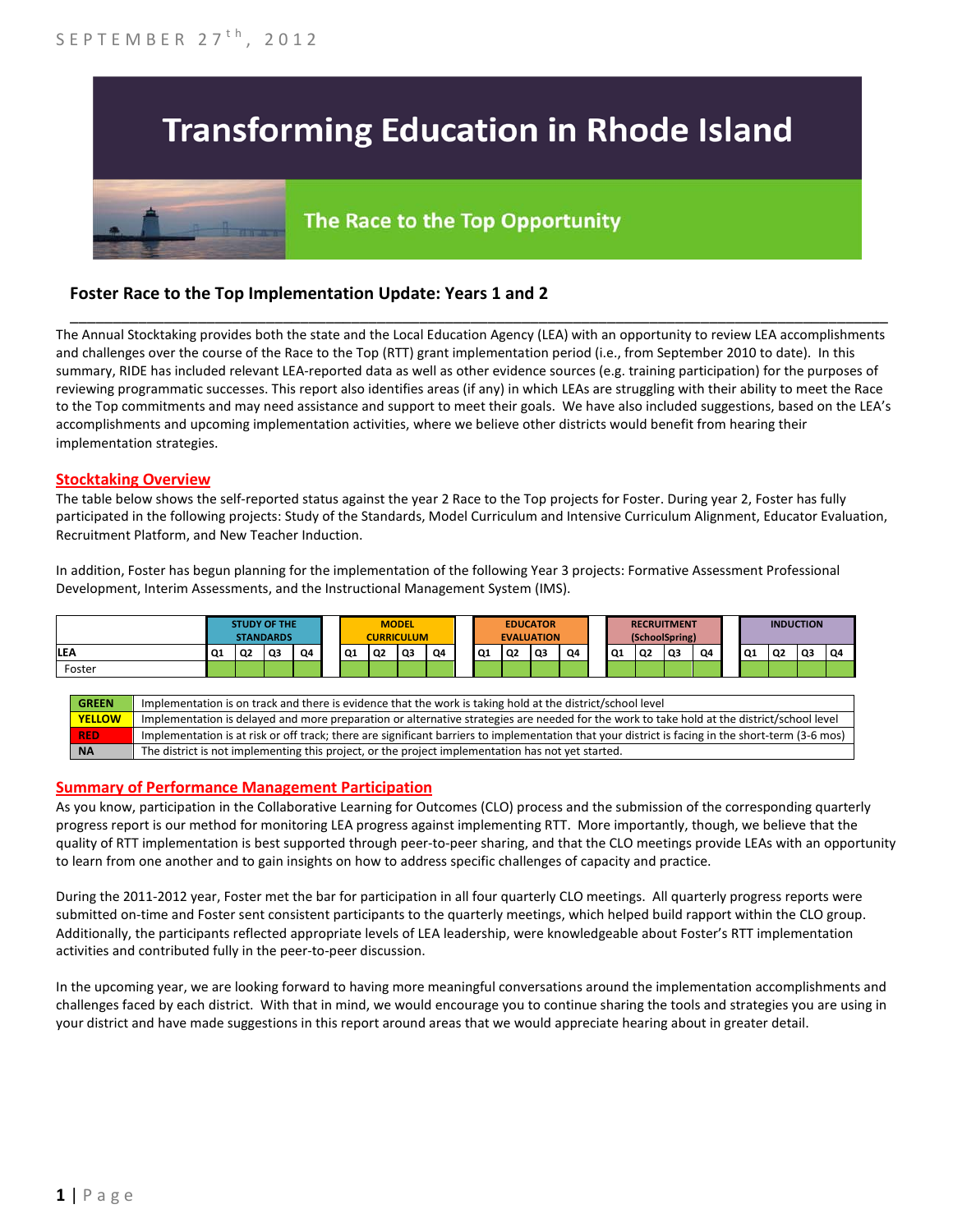

# The Race to the Top Opportunity

## **Foster Race to the Top Implementation Update: Years 1 and 2**

The Annual Stocktaking provides both the state and the Local Education Agency (LEA) with an opportunity to review LEA accomplishments and challenges over the course of the Race to the Top (RTT) grant implementation period (i.e., from September 2010 to date). In this summary, RIDE has included relevant LEA-reported data as well as other evidence sources (e.g. training participation) for the purposes of reviewing programmatic successes. This report also identifies areas (if any) in which LEAs are struggling with their ability to meet the Race to the Top commitments and may need assistance and support to meet their goals. We have also included suggestions, based on the LEA's accomplishments and upcoming implementation activities, where we believe other districts would benefit from hearing their implementation strategies.

\_\_\_\_\_\_\_\_\_\_\_\_\_\_\_\_\_\_\_\_\_\_\_\_\_\_\_\_\_\_\_\_\_\_\_\_\_\_\_\_\_\_\_\_\_\_\_\_\_\_\_\_\_\_\_\_\_\_\_\_\_\_\_\_\_\_\_\_\_\_\_\_\_\_\_\_\_\_\_\_\_\_\_\_\_\_\_\_\_\_\_\_\_\_\_\_

#### **Stocktaking Overview**

The table below shows the self-reported status against the year 2 Race to the Top projects for Foster. During year 2, Foster has fully participated in the following projects: Study of the Standards, Model Curriculum and Intensive Curriculum Alignment, Educator Evaluation, Recruitment Platform, and New Teacher Induction.

In addition, Foster has begun planning for the implementation of the following Year 3 projects: Formative Assessment Professional Development, Interim Assessments, and the Instructional Management System (IMS).



#### **Summary of Performance Management Participation**

As you know, participation in the Collaborative Learning for Outcomes (CLO) process and the submission of the corresponding quarterly progress report is our method for monitoring LEA progress against implementing RTT. More importantly, though, we believe that the quality of RTT implementation is best supported through peer-to-peer sharing, and that the CLO meetings provide LEAs with an opportunity to learn from one another and to gain insights on how to address specific challenges of capacity and practice.

During the 2011-2012 year, Foster met the bar for participation in all four quarterly CLO meetings. All quarterly progress reports were submitted on-time and Foster sent consistent participants to the quarterly meetings, which helped build rapport within the CLO group. Additionally, the participants reflected appropriate levels of LEA leadership, were knowledgeable about Foster's RTT implementation activities and contributed fully in the peer-to-peer discussion.

In the upcoming year, we are looking forward to having more meaningful conversations around the implementation accomplishments and challenges faced by each district. With that in mind, we would encourage you to continue sharing the tools and strategies you are using in your district and have made suggestions in this report around areas that we would appreciate hearing about in greater detail.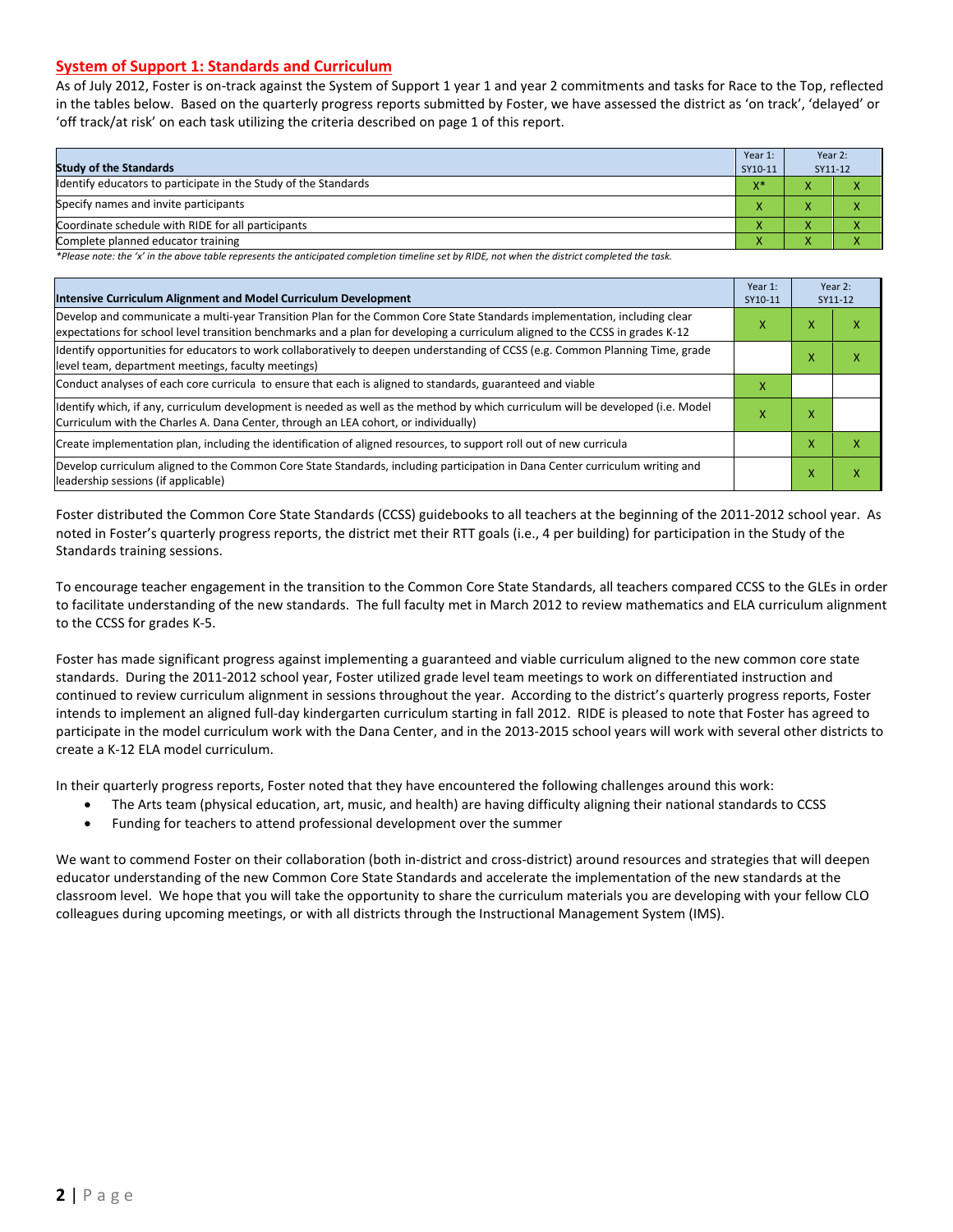## **System of Support 1: Standards and Curriculum**

As of July 2012, Foster is on-track against the System of Support 1 year 1 and year 2 commitments and tasks for Race to the Top, reflected in the tables below. Based on the quarterly progress reports submitted by Foster, we have assessed the district as 'on track', 'delayed' or 'off track/at risk' on each task utilizing the criteria described on page 1 of this report.

| <b>Study of the Standards</b>                                   | Year 1:<br>SY10-11 | Year 2:<br>SY11-12                             |  |
|-----------------------------------------------------------------|--------------------|------------------------------------------------|--|
| Identify educators to participate in the Study of the Standards | $V^*$<br>^         | $\overline{\phantom{a}}$                       |  |
| Specify names and invite participants                           | $\overline{ }$     |                                                |  |
| Coordinate schedule with RIDE for all participants              | $\mathbf{v}$       |                                                |  |
| Complete planned educator training                              | $\mathbf{\Lambda}$ | $\overline{\phantom{a}}$<br>$\mathbf{\Lambda}$ |  |

*\*Please note: the 'x' in the above table represents the anticipated completion timeline set by RIDE, not when the district completed the task.*

| Intensive Curriculum Alignment and Model Curriculum Development                                                                                                                                                                                           | Year 1:<br>SY10-11 | Year 2:<br>SY11-12 |   |
|-----------------------------------------------------------------------------------------------------------------------------------------------------------------------------------------------------------------------------------------------------------|--------------------|--------------------|---|
| Develop and communicate a multi-year Transition Plan for the Common Core State Standards implementation, including clear<br>expectations for school level transition benchmarks and a plan for developing a curriculum aligned to the CCSS in grades K-12 | x                  | x                  | ⋏ |
| Identify opportunities for educators to work collaboratively to deepen understanding of CCSS (e.g. Common Planning Time, grade<br>level team, department meetings, faculty meetings)                                                                      |                    | x                  | x |
| Conduct analyses of each core curricula to ensure that each is aligned to standards, guaranteed and viable                                                                                                                                                | х                  |                    |   |
| ldentify which, if any, curriculum development is needed as well as the method by which curriculum will be developed (i.e. Model<br>Curriculum with the Charles A. Dana Center, through an LEA cohort, or individually)                                   | х                  | x                  |   |
| Create implementation plan, including the identification of aligned resources, to support roll out of new curricula                                                                                                                                       |                    | x                  | x |
| Develop curriculum aligned to the Common Core State Standards, including participation in Dana Center curriculum writing and<br>leadership sessions (if applicable)                                                                                       |                    | X                  | Χ |

Foster distributed the Common Core State Standards (CCSS) guidebooks to all teachers at the beginning of the 2011-2012 school year. As noted in Foster's quarterly progress reports, the district met their RTT goals (i.e., 4 per building) for participation in the Study of the Standards training sessions.

To encourage teacher engagement in the transition to the Common Core State Standards, all teachers compared CCSS to the GLEs in order to facilitate understanding of the new standards. The full faculty met in March 2012 to review mathematics and ELA curriculum alignment to the CCSS for grades K-5.

Foster has made significant progress against implementing a guaranteed and viable curriculum aligned to the new common core state standards. During the 2011-2012 school year, Foster utilized grade level team meetings to work on differentiated instruction and continued to review curriculum alignment in sessions throughout the year. According to the district's quarterly progress reports, Foster intends to implement an aligned full-day kindergarten curriculum starting in fall 2012. RIDE is pleased to note that Foster has agreed to participate in the model curriculum work with the Dana Center, and in the 2013-2015 school years will work with several other districts to create a K-12 ELA model curriculum.

In their quarterly progress reports, Foster noted that they have encountered the following challenges around this work:

- The Arts team (physical education, art, music, and health) are having difficulty aligning their national standards to CCSS
- Funding for teachers to attend professional development over the summer

We want to commend Foster on their collaboration (both in-district and cross-district) around resources and strategies that will deepen educator understanding of the new Common Core State Standards and accelerate the implementation of the new standards at the classroom level. We hope that you will take the opportunity to share the curriculum materials you are developing with your fellow CLO colleagues during upcoming meetings, or with all districts through the Instructional Management System (IMS).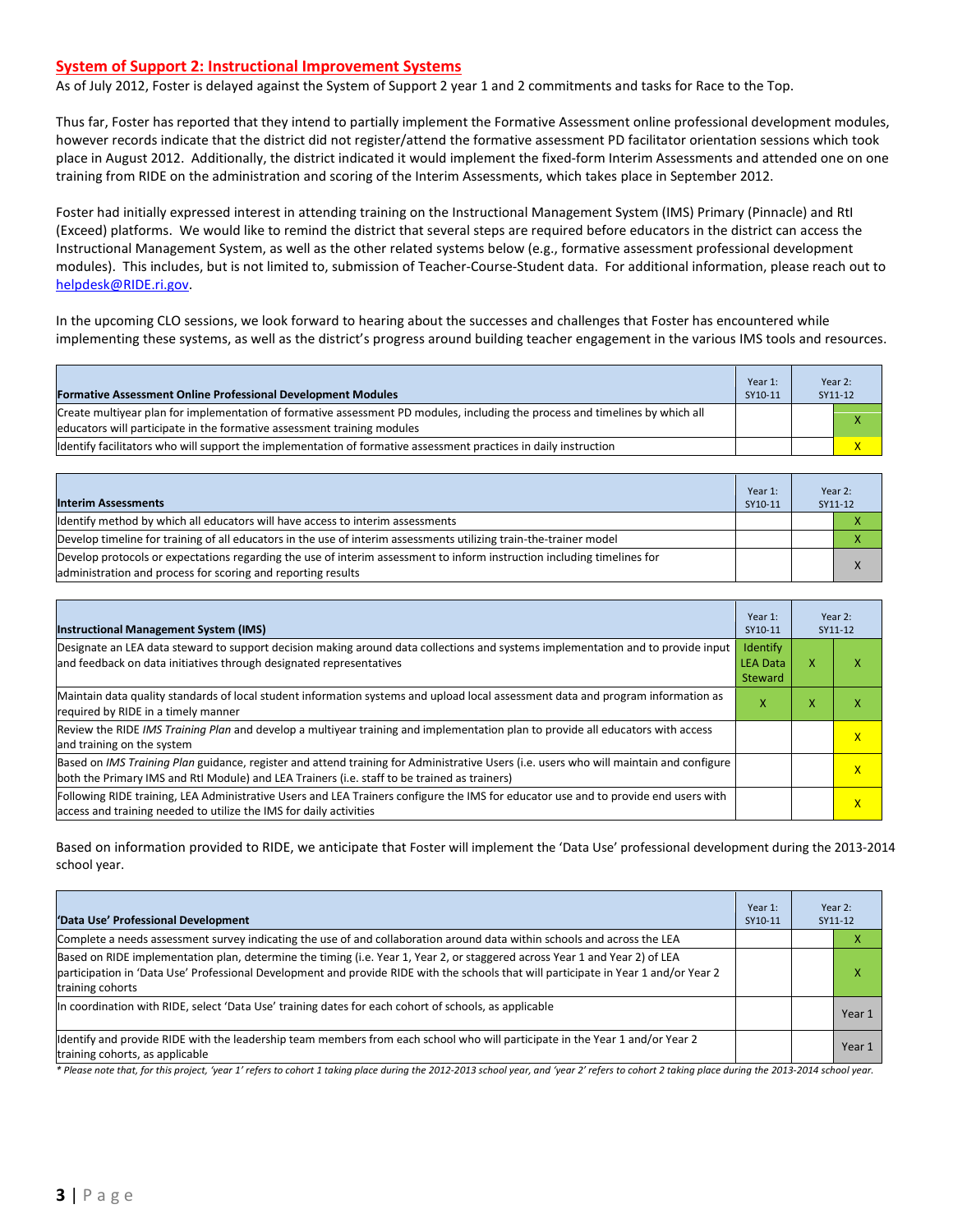#### **System of Support 2: Instructional Improvement Systems**

As of July 2012, Foster is delayed against the System of Support 2 year 1 and 2 commitments and tasks for Race to the Top.

Thus far, Foster has reported that they intend to partially implement the Formative Assessment online professional development modules, however records indicate that the district did not register/attend the formative assessment PD facilitator orientation sessions which took place in August 2012. Additionally, the district indicated it would implement the fixed-form Interim Assessments and attended one on one training from RIDE on the administration and scoring of the Interim Assessments, which takes place in September 2012.

Foster had initially expressed interest in attending training on the Instructional Management System (IMS) Primary (Pinnacle) and RtI (Exceed) platforms. We would like to remind the district that several steps are required before educators in the district can access the Instructional Management System, as well as the other related systems below (e.g., formative assessment professional development modules). This includes, but is not limited to, submission of Teacher-Course-Student data. For additional information, please reach out to [helpdesk@RIDE.ri.gov.](mailto:helpdesk@RIDE.ri.gov)

In the upcoming CLO sessions, we look forward to hearing about the successes and challenges that Foster has encountered while implementing these systems, as well as the district's progress around building teacher engagement in the various IMS tools and resources.

| <b>Formative Assessment Online Professional Development Modules</b>                                                                                                                                       | Year 1:<br>SY10-11 | Year 2:<br>SY11-12 |
|-----------------------------------------------------------------------------------------------------------------------------------------------------------------------------------------------------------|--------------------|--------------------|
| Create multiyear plan for implementation of formative assessment PD modules, including the process and timelines by which all<br>leducators will participate in the formative assessment training modules |                    |                    |
| Ildentify facilitators who will support the implementation of formative assessment practices in daily instruction                                                                                         |                    |                    |

| <b>Interim Assessments</b>                                                                                                                                                              | Year 1:<br>SY10-11 | Year 2:<br>SY11-12 |
|-----------------------------------------------------------------------------------------------------------------------------------------------------------------------------------------|--------------------|--------------------|
| Identify method by which all educators will have access to interim assessments                                                                                                          |                    |                    |
| Develop timeline for training of all educators in the use of interim assessments utilizing train-the-trainer model                                                                      |                    |                    |
| Develop protocols or expectations regarding the use of interim assessment to inform instruction including timelines for<br>administration and process for scoring and reporting results |                    |                    |

| <b>Instructional Management System (IMS)</b>                                                                                                                                                                                           | Year 1:<br>SY10-11                     | Year 2:<br>SY11-12 |              |
|----------------------------------------------------------------------------------------------------------------------------------------------------------------------------------------------------------------------------------------|----------------------------------------|--------------------|--------------|
| Designate an LEA data steward to support decision making around data collections and systems implementation and to provide input<br>and feedback on data initiatives through designated representatives                                | Identify<br><b>LEA Data</b><br>Steward | x                  | $\mathbf{v}$ |
| Maintain data quality standards of local student information systems and upload local assessment data and program information as<br>required by RIDE in a timely manner                                                                | x                                      | л                  |              |
| Review the RIDE IMS Training Plan and develop a multiyear training and implementation plan to provide all educators with access<br>and training on the system                                                                          |                                        |                    | $\mathsf{x}$ |
| Based on IMS Training Plan guidance, register and attend training for Administrative Users (i.e. users who will maintain and configure<br>both the Primary IMS and RtI Module) and LEA Trainers (i.e. staff to be trained as trainers) |                                        |                    | $\mathsf{x}$ |
| Following RIDE training, LEA Administrative Users and LEA Trainers configure the IMS for educator use and to provide end users with<br>access and training needed to utilize the IMS for daily activities                              |                                        |                    | $\mathsf{x}$ |

Based on information provided to RIDE, we anticipate that Foster will implement the 'Data Use' professional development during the 2013-2014 school year.

| 'Data Use' Professional Development                                                                                                                                                                                                                                                     | Year 1:<br>SY10-11 | Year 2:<br>SY11-12 |        |
|-----------------------------------------------------------------------------------------------------------------------------------------------------------------------------------------------------------------------------------------------------------------------------------------|--------------------|--------------------|--------|
| Complete a needs assessment survey indicating the use of and collaboration around data within schools and across the LEA                                                                                                                                                                |                    |                    | v      |
| Based on RIDE implementation plan, determine the timing (i.e. Year 1, Year 2, or staggered across Year 1 and Year 2) of LEA<br>participation in 'Data Use' Professional Development and provide RIDE with the schools that will participate in Year 1 and/or Year 2<br>training cohorts |                    |                    | ⋏      |
| In coordination with RIDE, select 'Data Use' training dates for each cohort of schools, as applicable                                                                                                                                                                                   |                    |                    | Year 1 |
| ldentify and provide RIDE with the leadership team members from each school who will participate in the Year 1 and/or Year 2<br>training cohorts, as applicable                                                                                                                         |                    |                    | Year 1 |

*\* Please note that, for this project, 'year 1' refers to cohort 1 taking place during the 2012-2013 school year, and 'year 2' refers to cohort 2 taking place during the 2013-2014 school year.*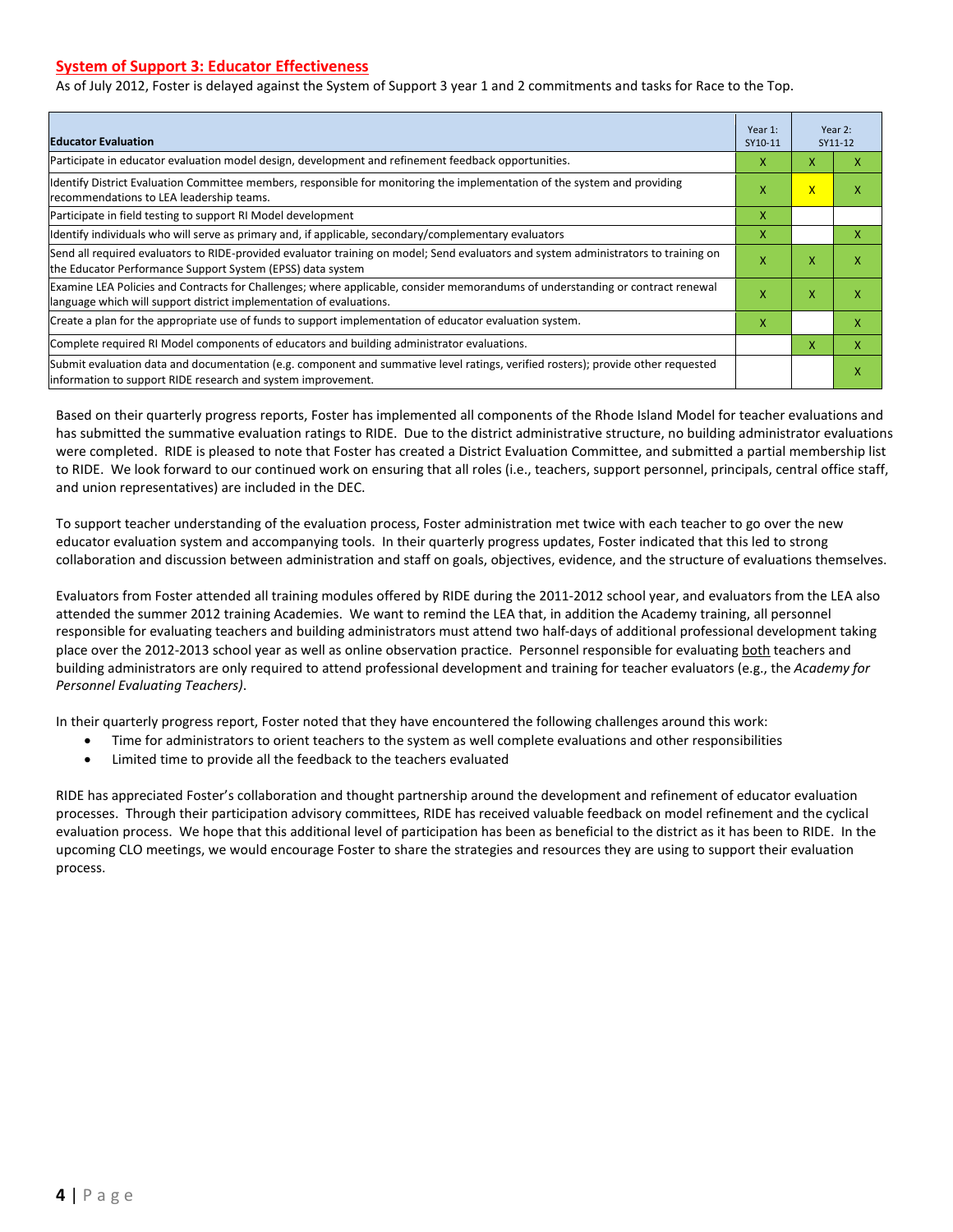## **System of Support 3: Educator Effectiveness**

As of July 2012, Foster is delayed against the System of Support 3 year 1 and 2 commitments and tasks for Race to the Top.

| <b>Educator Evaluation</b>                                                                                                                                                                            | Year 1:<br>SY10-11 | Year 2:<br>SY11-12      |   |
|-------------------------------------------------------------------------------------------------------------------------------------------------------------------------------------------------------|--------------------|-------------------------|---|
| Participate in educator evaluation model design, development and refinement feedback opportunities.                                                                                                   | x                  | X                       | x |
| Identify District Evaluation Committee members, responsible for monitoring the implementation of the system and providing<br>recommendations to LEA leadership teams.                                 | χ                  | $\overline{\mathsf{x}}$ |   |
| Participate in field testing to support RI Model development                                                                                                                                          | x                  |                         |   |
| Identify individuals who will serve as primary and, if applicable, secondary/complementary evaluators                                                                                                 | x                  |                         | x |
| Send all required evaluators to RIDE-provided evaluator training on model; Send evaluators and system administrators to training on<br>the Educator Performance Support System (EPSS) data system     | X                  | X                       | х |
| Examine LEA Policies and Contracts for Challenges; where applicable, consider memorandums of understanding or contract renewal<br>language which will support district implementation of evaluations. | X                  | X                       | χ |
| Create a plan for the appropriate use of funds to support implementation of educator evaluation system.                                                                                               | x                  |                         | x |
| Complete required RI Model components of educators and building administrator evaluations.                                                                                                            |                    | x                       | x |
| Submit evaluation data and documentation (e.g. component and summative level ratings, verified rosters); provide other requested<br>linformation to support RIDE research and system improvement.     |                    |                         | χ |

Based on their quarterly progress reports, Foster has implemented all components of the Rhode Island Model for teacher evaluations and has submitted the summative evaluation ratings to RIDE. Due to the district administrative structure, no building administrator evaluations were completed. RIDE is pleased to note that Foster has created a District Evaluation Committee, and submitted a partial membership list to RIDE. We look forward to our continued work on ensuring that all roles (i.e., teachers, support personnel, principals, central office staff, and union representatives) are included in the DEC.

To support teacher understanding of the evaluation process, Foster administration met twice with each teacher to go over the new educator evaluation system and accompanying tools. In their quarterly progress updates, Foster indicated that this led to strong collaboration and discussion between administration and staff on goals, objectives, evidence, and the structure of evaluations themselves.

Evaluators from Foster attended all training modules offered by RIDE during the 2011-2012 school year, and evaluators from the LEA also attended the summer 2012 training Academies. We want to remind the LEA that, in addition the Academy training, all personnel responsible for evaluating teachers and building administrators must attend two half-days of additional professional development taking place over the 2012-2013 school year as well as online observation practice. Personnel responsible for evaluating both teachers and building administrators are only required to attend professional development and training for teacher evaluators (e.g., the *Academy for Personnel Evaluating Teachers)*.

In their quarterly progress report, Foster noted that they have encountered the following challenges around this work:

- Time for administrators to orient teachers to the system as well complete evaluations and other responsibilities
- Limited time to provide all the feedback to the teachers evaluated

RIDE has appreciated Foster's collaboration and thought partnership around the development and refinement of educator evaluation processes. Through their participation advisory committees, RIDE has received valuable feedback on model refinement and the cyclical evaluation process. We hope that this additional level of participation has been as beneficial to the district as it has been to RIDE. In the upcoming CLO meetings, we would encourage Foster to share the strategies and resources they are using to support their evaluation process.